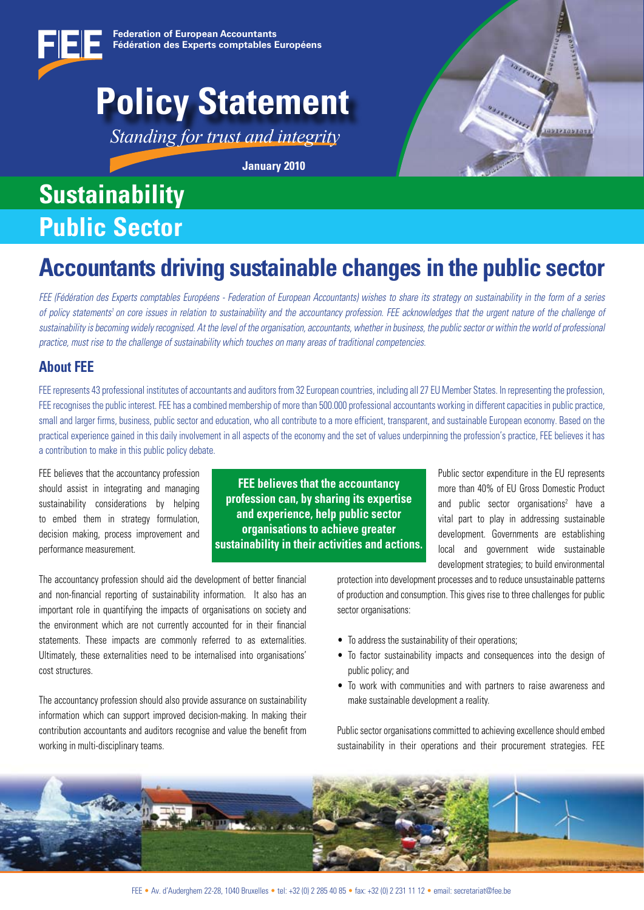## **Policy Statement**

*Standing for trust and integrity*

**January 2010**

## **Sustainability Public Sector**



### **Accountants driving sustainable changes in the public sector**

*FEE (Fédération des Experts comptables Européens - Federation of European Accountants) wishes to share its strategy on sustainability in the form of a series*  of policy statements<sup>1</sup> on core issues in relation to sustainability and the accountancy profession. FEE acknowledges that the urgent nature of the challenge of *sustainability is becoming widely recognised. At the level of the organisation, accountants, whether in business, the public sector or within the world of professional practice, must rise to the challenge of sustainability which touches on many areas of traditional competencies.*

### **About FEE**

FEE represents 43 professional institutes of accountants and auditors from 32 European countries, including all 27 EU Member States. In representing the profession, FEE recognises the public interest. FEE has a combined membership of more than 500.000 professional accountants working in different capacities in public practice, small and larger firms, business, public sector and education, who all contribute to a more efficient, transparent, and sustainable European economy. Based on the practical experience gained in this daily involvement in all aspects of the economy and the set of values underpinning the profession's practice, FEE believes it has a contribution to make in this public policy debate.

FEE believes that the accountancy profession should assist in integrating and managing sustainability considerations by helping to embed them in strategy formulation, decision making, process improvement and performance measurement.

**FEE believes that the accountancy profession can, by sharing its expertise and experience, help public sector organisations to achieve greater sustainability in their activities and actions.** Public sector expenditure in the EU represents more than 40% of EU Gross Domestic Product and public sector organisations<sup>2</sup> have a vital part to play in addressing sustainable development. Governments are establishing local and government wide sustainable development strategies; to build environmental

The accountancy profession should aid the development of better financial and non-financial reporting of sustainability information. It also has an important role in quantifying the impacts of organisations on society and the environment which are not currently accounted for in their financial statements. These impacts are commonly referred to as externalities. Ultimately, these externalities need to be internalised into organisations' cost structures.

The accountancy profession should also provide assurance on sustainability information which can support improved decision-making. In making their contribution accountants and auditors recognise and value the benefit from working in multi-disciplinary teams.

protection into development processes and to reduce unsustainable patterns of production and consumption. This gives rise to three challenges for public sector organisations:

- To address the sustainability of their operations;
- To factor sustainability impacts and consequences into the design of public policy; and
- To work with communities and with partners to raise awareness and make sustainable development a reality.

Public sector organisations committed to achieving excellence should embed sustainability in their operations and their procurement strategies. FEE